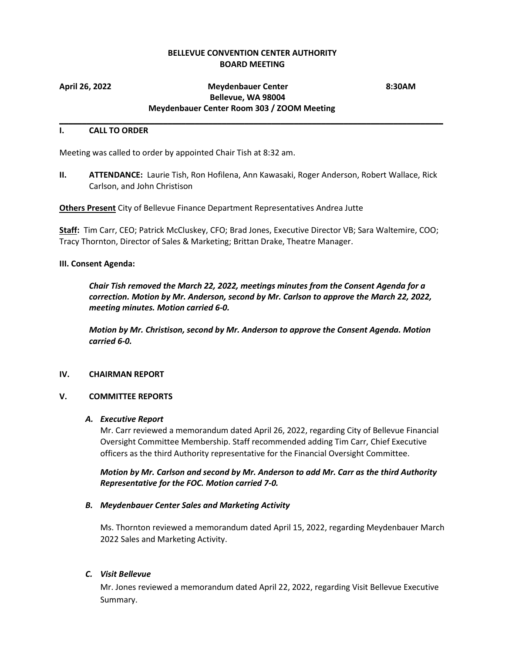# **BELLEVUE CONVENTION CENTER AUTHORITY BOARD MEETING**

\_\_\_\_\_\_\_\_\_\_\_\_\_\_\_\_\_\_\_\_\_\_\_\_\_\_\_\_\_\_\_\_\_\_\_\_\_\_\_\_\_\_\_\_\_\_\_\_\_\_\_\_\_\_\_\_\_\_\_\_\_\_\_\_\_\_\_\_\_\_\_\_\_\_\_\_\_\_\_\_\_\_\_\_\_

## **April 26, 2022 Meydenbauer Center 8:30AM Bellevue, WA 98004 Meydenbauer Center Room 303 / ZOOM Meeting**

#### **I. CALL TO ORDER**

Meeting was called to order by appointed Chair Tish at 8:32 am.

**II. ATTENDANCE:** Laurie Tish, Ron Hofilena, Ann Kawasaki, Roger Anderson, Robert Wallace, Rick Carlson, and John Christison

**Others Present** City of Bellevue Finance Department Representatives Andrea Jutte

**Staff:** Tim Carr, CEO; Patrick McCluskey, CFO; Brad Jones, Executive Director VB; Sara Waltemire, COO; Tracy Thornton, Director of Sales & Marketing; Brittan Drake, Theatre Manager.

### **III. Consent Agenda:**

*Chair Tish removed the March 22, 2022, meetings minutes from the Consent Agenda for a correction. Motion by Mr. Anderson, second by Mr. Carlson to approve the March 22, 2022, meeting minutes. Motion carried 6-0.*

*Motion by Mr. Christison, second by Mr. Anderson to approve the Consent Agenda. Motion carried 6-0.*

### **IV. CHAIRMAN REPORT**

### **V. COMMITTEE REPORTS**

### *A. Executive Report*

Mr. Carr reviewed a memorandum dated April 26, 2022, regarding City of Bellevue Financial Oversight Committee Membership. Staff recommended adding Tim Carr, Chief Executive officers as the third Authority representative for the Financial Oversight Committee.

*Motion by Mr. Carlson and second by Mr. Anderson to add Mr. Carr as the third Authority Representative for the FOC. Motion carried 7-0.*

### *B. Meydenbauer Center Sales and Marketing Activity*

Ms. Thornton reviewed a memorandum dated April 15, 2022, regarding Meydenbauer March 2022 Sales and Marketing Activity.

### *C. Visit Bellevue*

Mr. Jones reviewed a memorandum dated April 22, 2022, regarding Visit Bellevue Executive Summary.